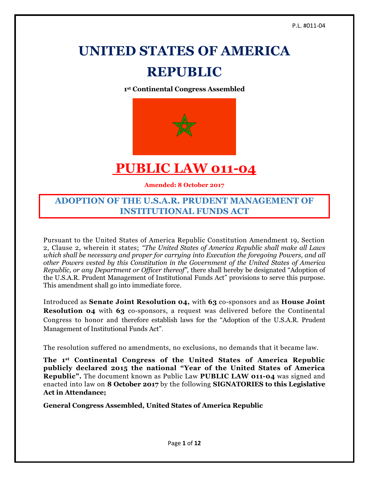# **UNITED STATES OF AMERICA**

# **REPUBLIC**

**1 st Continental Congress Assembled**



# **PUBLIC LAW 011-04**

**Amended: 8 October 2017**

## **ADOPTION OF THE U.S.A.R. PRUDENT MANAGEMENT OF INSTITUTIONAL FUNDS ACT**

Pursuant to the United States of America Republic Constitution Amendment 19, Section 2, Clause 2, wherein it states; *"The United States of America Republic shall make all Laws which shall be necessary and proper for carrying into Execution the foregoing Powers, and all other Powers vested by this Constitution in the Government of the United States of America Republic, or any Department or Officer thereof",* there shall hereby be designated "Adoption of the U.S.A.R. Prudent Management of Institutional Funds Act" provisions to serve this purpose. This amendment shall go into immediate force.

Introduced as **Senate Joint Resolution 04,** with **63** co-sponsors and as **House Joint Resolution 04** with **63** co-sponsors, a request was delivered before the Continental Congress to honor and therefore establish laws for the "Adoption of the U.S.A.R. Prudent Management of Institutional Funds Act".

The resolution suffered no amendments, no exclusions, no demands that it became law.

**The 1 st Continental Congress of the United States of America Republic publicly declared 2015 the national "Year of the United States of America Republic".** The document known as Public Law **PUBLIC LAW 011-04** was signed and enacted into law on **8 October 2017** by the following **SIGNATORIES to this Legislative Act in Attendance;**

**General Congress Assembled, United States of America Republic**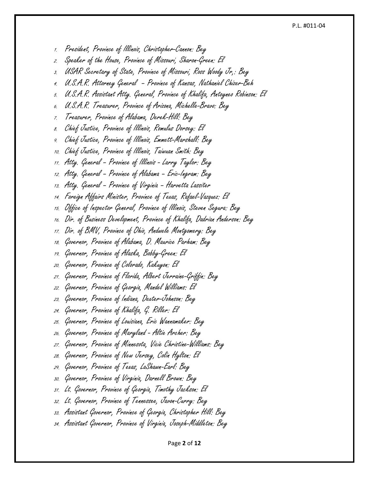1. President, Province of Illinois, Christopher-Cannon: Bey

2. Speaker of the House, Province of Missouri, Sharon-Green: El

- 3. USAR Secretary of State, Province of Missouri, Ross Woody Jr,: Bey
- 4. U.S.A.R. Attorney General Province of Kansas, Nathaniel Chizer-Beh
- 5. U.S.A.R. Assistant Atty. General, Province of Khalifa, Antoyneo Robinson: El
- 6. U.S.A.R. Treasurer, Province of Arizona, Michelle-Bravo: Bey
- 7. Treasurer, Province of Alabama, Derek-Hill: Bey
- 8. Chief Justice, Province of Illinois, Romulus Dorsey: El
- 9. Chief Justice, Province of Illinois, Emmett-Marshall: Bey
- 10. Chief Justice, Province of Illinois, Taiwuan Smith: Bey
- 11. Atty. General Province of Illinois Larry Taylor: Bey
- 12. Atty. General Province of Alabama Eric-Ingram: Bey
- 13. Atty. General Province of Virginia Harvetta Lassiter
- 14. Foreign Affairs Minister, Province of Texas, Rafael-Vazquez: El
- 15. Office of Inspector General, Province of Illinois, Steven Segura: Bey
- 16. Dir. of Business Development, Province of Khalifa, Dadrian Anderson: Bey
- 17. Dir. of BMV, Province of Ohio, Andwele Montgomery: Bey
- 18. Governor, Province of Alabama, D. Maurice Parham: Bey
- 19. Governor, Province of Alaska, Bobby-Green: El
- 20. Governor, Province of Colorado, Kakuyon: El
- 21. Governor, Province of Florida, Albert Jerraine-Griffin: Bey
- 22. Governor, Province of Georgia, Mandel Williams: El
- 23. Governor, Province of Indiana, Dexter-Johnson: Bey
- 24. Governor, Province of Khalifa, G. Riller: El
- 25. Governor, Province of Louisiana, Eric Wannamaker: Bey
- 26. Governor, Province of Maryland Altie Archer: Bey
- 27. Governor, Province of Minnesota, Vicie Christine-Williams: Bey
- 28. Governor, Province of New Jersey, Colin Hylton: El
- 29. Governor, Province of Texas, LaShawn-Earl: Bey
- 30. Governor, Province of Virginia, Darnell Brown: Bey
- 31. Lt. Governor, Province of Georgia, Timothy Jackson: El
- 32. Lt. Governor, Province of Tennessee, Javon-Curry: Bey
- 33. Assistant Governor, Province of Georgia, Christopher Hill: Bey
- 34. Assistant Governor, Province of Virginia, Joseph-Middleton: Bey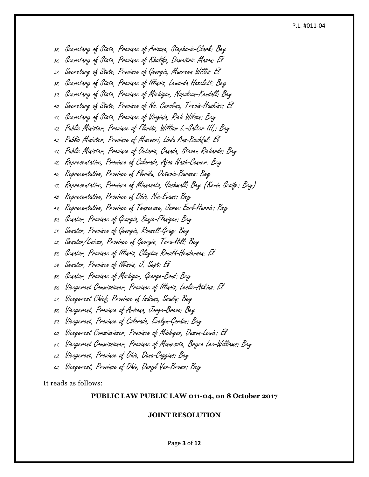#### P.L. #011-04

35. Secretary of State, Province of Arizona, Stephanie-Clark: Bey

36. Secretary of State, Province of Khalifa, Demeitric Mason: El

37. Secretary of State, Province of Georgia, Maureen Willis: El

38. Secretary of State, Province of Illinois, Lewanda Hazelett: Bey

39. Secretary of State, Province of Michigan, Napoleon-Kendall: Bey

40. Secretary of State, Province of No. Carolina, Trevis-Haskins: El

41. Secretary of State, Province of Virginia, Rich Wilson: Bey

42. Public Minister, Province of Florida, William L.-Salter III,: Bey

43. Public Minister, Province of Missouri, Linda Ann-Bashful: El

44. Public Minister, Province of Ontario, Canada, Steven Richards: Bey

45. Representative, Province of Colorado, Ajoa Nash-Conner: Bey

46. Representative, Province of Florida, Octavia-Barnes: Bey

47. Representative, Province of Minnesota, Yashmall: Bey (Kevin Scaife: Bey)

48. Representative, Province of Ohio, Nia-Evans: Bey

49. Representative, Province of Tennessee, James Earl-Harris: Bey

50. Senator, Province of Georgia, Sonja-Flanigan: Bey

51. Senator, Province of Georgia, Ronnell-Gray: Bey

52. Senator/Liaison, Province of Georgia, Tara-Hill: Bey

53. Senator, Province of Illinois, Clayton Ronald-Henderson: El

54. Senator, Province of Illinois, J. Sept: El

55. Senator, Province of Michigan, George-Bond: Bey

56. Vicegerent Commissioner, Province of Illinois, Leslie-Atkins: El

57. Vicegerent Chief, Province of Indiana, Saadiq: Bey

58. Vicegerent, Province of Arizona, Jorge-Bravo: Bey

59. Vicegerent, Province of Colorado, Evelyn-Gordon: Bey

60. Vicegerent Commissioner, Province of Michigan, Damon-Lewis: El

61. Vicegerent Commissioner, Province of Minnesota, Bryce Lee-Williams: Bey

62. Vicegerent, Province of Ohio, Dana-Coggins: Bey

63. Vicegerent, Province of Ohio, Daryl Van-Brown: Bey

It reads as follows:

### **PUBLIC LAW PUBLIC LAW 011-04, on 8 October 2017**

#### **JOINT RESOLUTION**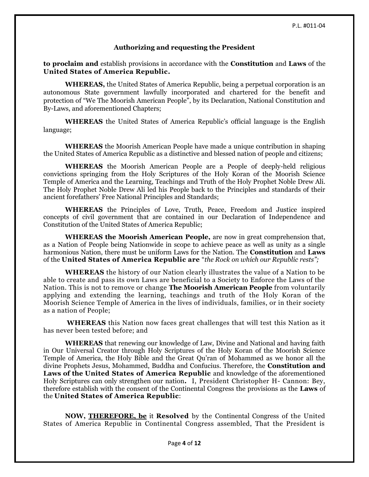### **Authorizing and requesting the President**

**to proclaim and** establish provisions in accordance with the **Constitution** and **Laws** of the **United States of America Republic.**

**WHEREAS,** the United States of America Republic, being a perpetual corporation is an autonomous State government lawfully incorporated and chartered for the benefit and protection of "We The Moorish American People", by its Declaration, National Constitution and By-Laws, and aforementioned Chapters;

**WHEREAS** the United States of America Republic's official language is the English language;

**WHEREAS** the Moorish American People have made a unique contribution in shaping the United States of America Republic as a distinctive and blessed nation of people and citizens;

**WHEREAS** the Moorish American People are a People of deeply-held religious convictions springing from the Holy Scriptures of the Holy Koran of the Moorish Science Temple of America and the Learning, Teachings and Truth of the Holy Prophet Noble Drew Ali. The Holy Prophet Noble Drew Ali led his People back to the Principles and standards of their ancient forefathers' Free National Principles and Standards;

**WHEREAS** the Principles of Love, Truth, Peace, Freedom and Justice inspired concepts of civil government that are contained in our Declaration of Independence and Constitution of the United States of America Republic;

**WHEREAS the Moorish American People,** are now in great comprehension that, as a Nation of People being Nationwide in scope to achieve peace as well as unity as a single harmonious Nation, there must be uniform Laws for the Nation. The **Constitution** and **Laws** of the **United States of America Republic are** "*the Rock on which our Republic rests";*

**WHEREAS** the history of our Nation clearly illustrates the value of a Nation to be able to create and pass its own Laws are beneficial to a Society to Enforce the Laws of the Nation. This is not to remove or change **The Moorish American People** from voluntarily applying and extending the learning, teachings and truth of the Holy Koran of the Moorish Science Temple of America in the lives of individuals, families, or in their society as a nation of People;

**WHEREAS** this Nation now faces great challenges that will test this Nation as it has never been tested before; and

**WHEREAS** that renewing our knowledge of Law, Divine and National and having faith in Our Universal Creator through Holy Scriptures of the Holy Koran of the Moorish Science Temple of America, the Holy Bible and the Great Qu'ran of Mohammed as we honor all the divine Prophets Jesus, Mohammed, Buddha and Confucius. Therefore, the **Constitution and Laws of the United States of America Republic** and knowledge of the aforementioned Holy Scriptures can only strengthen our nation**.** I, President Christopher H- Cannon: Bey, therefore establish with the consent of the Continental Congress the provisions as the **Laws** of the **United States of America Republic**:

**NOW, [THEREFORE, be](http://therefore.be/)** it **Resolved** by the Continental Congress of the United States of America Republic in Continental Congress assembled, That the President is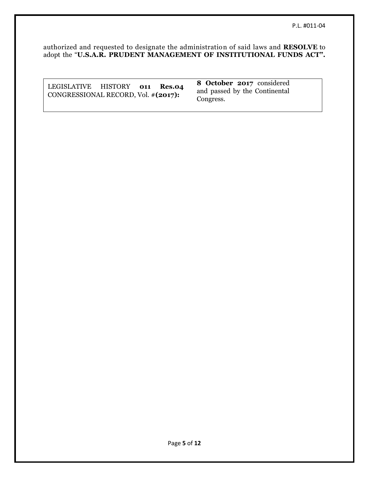authorized and requested to designate the administration of said laws and **RESOLVE** to adopt the "**U.S.A.R. PRUDENT MANAGEMENT OF INSTITUTIONAL FUNDS ACT".**

LEGISLATIVE HISTORY **011 Res.04** CONGRESSIONAL RECORD, Vol. #**(2017):**

**8 October 2017** considered and passed by the Continental Congress.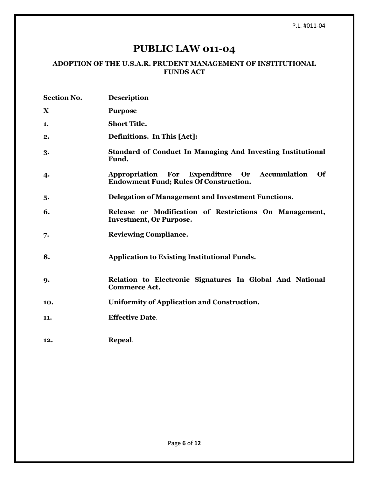P.L. #011-04

# **PUBLIC LAW 011-04**

## **ADOPTION OF THE U.S.A.R. PRUDENT MANAGEMENT OF INSTITUTIONAL FUNDS ACT**

| <b>Section No.</b> | <b>Description</b>                                                                                                                 |
|--------------------|------------------------------------------------------------------------------------------------------------------------------------|
| $\mathbf X$        | <b>Purpose</b>                                                                                                                     |
| 1.                 | <b>Short Title.</b>                                                                                                                |
| 2.                 | Definitions. In This [Act]:                                                                                                        |
| 3.                 | Standard of Conduct In Managing And Investing Institutional<br>Fund.                                                               |
| 4.                 | <b>Expenditure Or</b><br><b>Accumulation</b><br>Appropriation<br>For<br><b>Of</b><br><b>Endowment Fund; Rules Of Construction.</b> |
| 5.                 | Delegation of Management and Investment Functions.                                                                                 |
| 6.                 | Release or Modification of Restrictions On Management,<br><b>Investment, Or Purpose.</b>                                           |
| 7.                 | <b>Reviewing Compliance.</b>                                                                                                       |
| 8.                 | <b>Application to Existing Institutional Funds.</b>                                                                                |
| 9.                 | Relation to Electronic Signatures In Global And National<br><b>Commerce Act.</b>                                                   |
| 10.                | Uniformity of Application and Construction.                                                                                        |
| 11.                | <b>Effective Date.</b>                                                                                                             |
| 12.                | Repeal.                                                                                                                            |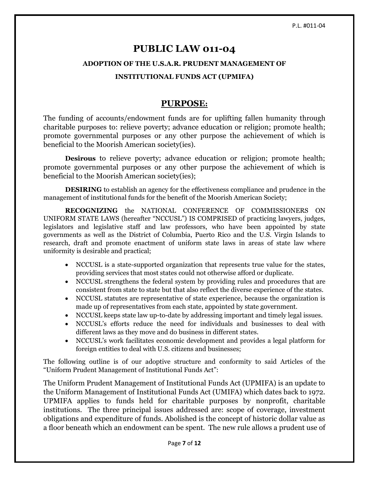## **PUBLIC LAW 011-04**

## **ADOPTION OF THE U.S.A.R. PRUDENT MANAGEMENT OF**

## **INSTITUTIONAL FUNDS ACT (UPMIFA)**

## **PURPOSE:**

The funding of accounts/endowment funds are for uplifting fallen humanity through charitable purposes to: relieve poverty; advance education or religion; promote health; promote governmental purposes or any other purpose the achievement of which is beneficial to the Moorish American society(ies).

**Desirous** to relieve poverty; advance education or religion; promote health; promote governmental purposes or any other purpose the achievement of which is beneficial to the Moorish American society(ies);

**DESIRING** to establish an agency for the effectiveness compliance and prudence in the management of institutional funds for the benefit of the Moorish American Society;

**RECOGNIZING** the NATIONAL CONFERENCE OF COMMISSIONERS ON UNIFORM STATE LAWS (hereafter "NCCUSL") IS COMPRISED of practicing lawyers, judges, legislators and legislative staff and law professors, who have been appointed by state governments as well as the District of Columbia, Puerto Rico and the U.S. Virgin Islands to research, draft and promote enactment of uniform state laws in areas of state law where uniformity is desirable and practical;

- NCCUSL is a state-supported organization that represents true value for the states, providing services that most states could not otherwise afford or duplicate.
- NCCUSL strengthens the federal system by providing rules and procedures that are consistent from state to state but that also reflect the diverse experience of the states.
- NCCUSL statutes are representative of state experience, because the organization is made up of representatives from each state, appointed by state government.
- NCCUSL keeps state law up-to-date by addressing important and timely legal issues.
- NCCUSL's efforts reduce the need for individuals and businesses to deal with different laws as they move and do business in different states.
- NCCUSL's work facilitates economic development and provides a legal platform for foreign entities to deal with U.S. citizens and businesses;

The following outline is of our adoptive structure and conformity to said Articles of the "Uniform Prudent Management of Institutional Funds Act":

The Uniform Prudent Management of Institutional Funds Act (UPMIFA) is an update to the Uniform Management of Institutional Funds Act (UMIFA) which dates back to 1972. UPMIFA applies to funds held for charitable purposes by nonprofit, charitable institutions. The three principal issues addressed are: scope of coverage, investment obligations and expenditure of funds. Abolished is the concept of historic dollar value as a floor beneath which an endowment can be spent. The new rule allows a prudent use of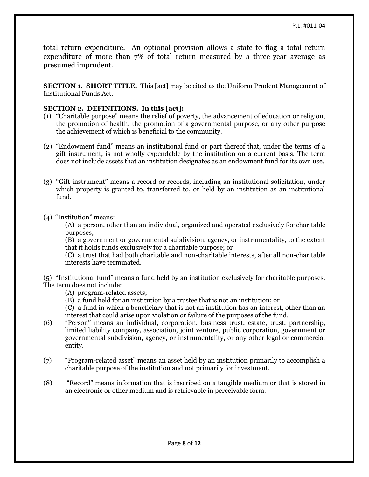total return expenditure. An optional provision allows a state to flag a total return expenditure of more than 7% of total return measured by a three-year average as presumed imprudent.

**SECTION 1. SHORT TITLE.** This [act] may be cited as the Uniform Prudent Management of Institutional Funds Act.

## **SECTION 2. DEFINITIONS. In this [act]:**

- (1) "Charitable purpose" means the relief of poverty, the advancement of education or religion, the promotion of health, the promotion of a governmental purpose, or any other purpose the achievement of which is beneficial to the community.
- (2) "Endowment fund" means an institutional fund or part thereof that, under the terms of a gift instrument, is not wholly expendable by the institution on a current basis. The term does not include assets that an institution designates as an endowment fund for its own use.
- (3) "Gift instrument" means a record or records, including an institutional solicitation, under which property is granted to, transferred to, or held by an institution as an institutional fund.

(4) "Institution" means:

(A) a person, other than an individual, organized and operated exclusively for charitable purposes;

(B) a government or governmental subdivision, agency, or instrumentality, to the extent that it holds funds exclusively for a charitable purpose; or

(C) a trust that had both charitable and non-charitable interests, after all non-charitable interests have terminated.

(5) "Institutional fund" means a fund held by an institution exclusively for charitable purposes. The term does not include:

- (A) program-related assets;
- (B) a fund held for an institution by a trustee that is not an institution; or

(C) a fund in which a beneficiary that is not an institution has an interest, other than an interest that could arise upon violation or failure of the purposes of the fund.

- (6) "Person" means an individual, corporation, business trust, estate, trust, partnership, limited liability company, association, joint venture, public corporation, government or governmental subdivision, agency, or instrumentality, or any other legal or commercial entity.
- (7) "Program-related asset" means an asset held by an institution primarily to accomplish a charitable purpose of the institution and not primarily for investment.
- (8) "Record" means information that is inscribed on a tangible medium or that is stored in an electronic or other medium and is retrievable in perceivable form.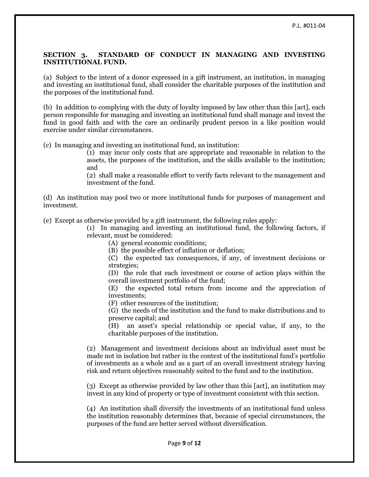## **SECTION 3. STANDARD OF CONDUCT IN MANAGING AND INVESTING INSTITUTIONAL FUND.**

(a) Subject to the intent of a donor expressed in a gift instrument, an institution, in managing and investing an institutional fund, shall consider the charitable purposes of the institution and the purposes of the institutional fund.

(b) In addition to complying with the duty of loyalty imposed by law other than this [act], each person responsible for managing and investing an institutional fund shall manage and invest the fund in good faith and with the care an ordinarily prudent person in a like position would exercise under similar circumstances.

(c) In managing and investing an institutional fund, an institution:

(1) may incur only costs that are appropriate and reasonable in relation to the assets, the purposes of the institution, and the skills available to the institution; and

(2) shall make a reasonable effort to verify facts relevant to the management and investment of the fund.

(d) An institution may pool two or more institutional funds for purposes of management and investment.

(e) Except as otherwise provided by a gift instrument, the following rules apply:

(1) In managing and investing an institutional fund, the following factors, if relevant, must be considered:

(A) general economic conditions;

(B) the possible effect of inflation or deflation;

(C) the expected tax consequences, if any, of investment decisions or strategies;

(D) the role that each investment or course of action plays within the overall investment portfolio of the fund;

(E) the expected total return from income and the appreciation of investments;

(F) other resources of the institution;

(G) the needs of the institution and the fund to make distributions and to preserve capital; and

(H) an asset's special relationship or special value, if any, to the charitable purposes of the institution.

(2) Management and investment decisions about an individual asset must be made not in isolation but rather in the context of the institutional fund's portfolio of investments as a whole and as a part of an overall investment strategy having risk and return objectives reasonably suited to the fund and to the institution.

(3) Except as otherwise provided by law other than this [act], an institution may invest in any kind of property or type of investment consistent with this section.

(4) An institution shall diversify the investments of an institutional fund unless the institution reasonably determines that, because of special circumstances, the purposes of the fund are better served without diversification.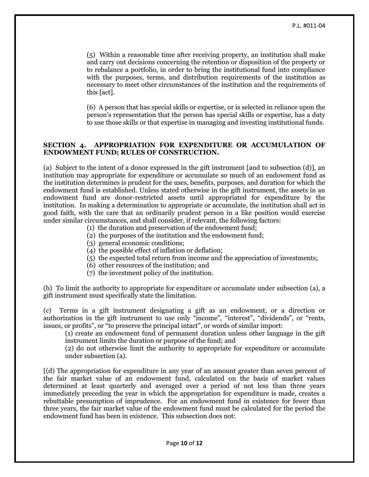(5) Within a reasonable time after receiving property, an institution shall make and carry out decisions concerning the retention or disposition of the property or to rebalance a portfolio, in order to bring the institutional fund into compliance with the purposes, terms, and distribution requirements of the institution as necessary to meet other circumstances of the institution and the requirements of this [act].

(6) A person that has special skills or expertise, or is selected in reliance upon the person's representation that the person has special skills or expertise, has a duty to use those skills or that expertise in managing and investing institutional funds.

## **SECTION 4. APPROPRIATION FOR EXPENDITURE OR ACCUMULATION OF ENDOWMENT FUND; RULES OF CONSTRUCTION.**

(a) Subject to the intent of a donor expressed in the gift instrument [and to subsection (d)], an institution may appropriate for expenditure or accumulate so much of an endowment fund as the institution determines is prudent for the uses, benefits, purposes, and duration for which the endowment fund is established. Unless stated otherwise in the gift instrument, the assets in an endowment fund are donor-restricted assets until appropriated for expenditure by the institution. In making a determination to appropriate or accumulate, the institution shall act in good faith, with the care that an ordinarily prudent person in a like position would exercise under similar circumstances, and shall consider, if relevant, the following factors:

- (1) the duration and preservation of the endowment fund;
- (2) the purposes of the institution and the endowment fund;
- (3) general economic conditions;
- (4) the possible effect of inflation or deflation;
- (5) the expected total return from income and the appreciation of investments;
- (6) other resources of the institution; and
- (7) the investment policy of the institution.

(b) To limit the authority to appropriate for expenditure or accumulate under subsection (a), a gift instrument must specifically state the limitation.

(c) Terms in a gift instrument designating a gift as an endowment, or a direction or authorization in the gift instrument to use only "income", "interest", "dividends", or "rents, issues, or profits", or "to preserve the principal intact", or words of similar import:

(1) create an endowment fund of permanent duration unless other language in the gift instrument limits the duration or purpose of the fund; and

(2) do not otherwise limit the authority to appropriate for expenditure or accumulate under subsection (a).

[(d) The appropriation for expenditure in any year of an amount greater than seven percent of the fair market value of an endowment fund, calculated on the basis of market values determined at least quarterly and averaged over a period of not less than three years immediately preceding the year in which the appropriation for expenditure is made, creates a rebuttable presumption of imprudence. For an endowment fund in existence for fewer than three years, the fair market value of the endowment fund must be calculated for the period the endowment fund has been in existence. This subsection does not: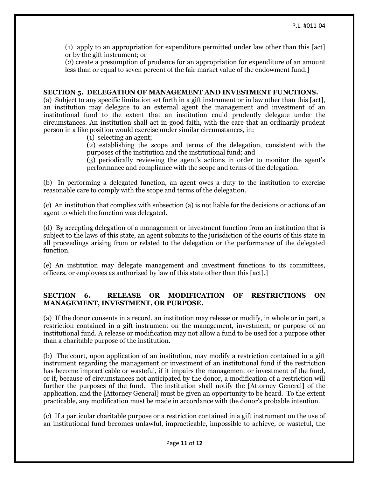(1) apply to an appropriation for expenditure permitted under law other than this [act] or by the gift instrument; or

(2) create a presumption of prudence for an appropriation for expenditure of an amount less than or equal to seven percent of the fair market value of the endowment fund.]

## **SECTION 5. DELEGATION OF MANAGEMENT AND INVESTMENT FUNCTIONS.**

(a) Subject to any specific limitation set forth in a gift instrument or in law other than this [act], an institution may delegate to an external agent the management and investment of an institutional fund to the extent that an institution could prudently delegate under the circumstances. An institution shall act in good faith, with the care that an ordinarily prudent person in a like position would exercise under similar circumstances, in:

(1) selecting an agent;

(2) establishing the scope and terms of the delegation, consistent with the purposes of the institution and the institutional fund; and

(3) periodically reviewing the agent's actions in order to monitor the agent's performance and compliance with the scope and terms of the delegation.

(b) In performing a delegated function, an agent owes a duty to the institution to exercise reasonable care to comply with the scope and terms of the delegation.

(c) An institution that complies with subsection (a) is not liable for the decisions or actions of an agent to which the function was delegated.

(d) By accepting delegation of a management or investment function from an institution that is subject to the laws of this state, an agent submits to the jurisdiction of the courts of this state in all proceedings arising from or related to the delegation or the performance of the delegated function.

(e) An institution may delegate management and investment functions to its committees, officers, or employees as authorized by law of this state other than this [act].]

## **SECTION 6. RELEASE OR MODIFICATION OF RESTRICTIONS ON MANAGEMENT, INVESTMENT, OR PURPOSE.**

(a) If the donor consents in a record, an institution may release or modify, in whole or in part, a restriction contained in a gift instrument on the management, investment, or purpose of an institutional fund. A release or modification may not allow a fund to be used for a purpose other than a charitable purpose of the institution.

(b) The court, upon application of an institution, may modify a restriction contained in a gift instrument regarding the management or investment of an institutional fund if the restriction has become impracticable or wasteful, if it impairs the management or investment of the fund, or if, because of circumstances not anticipated by the donor, a modification of a restriction will further the purposes of the fund. The institution shall notify the [Attorney General] of the application, and the [Attorney General] must be given an opportunity to be heard. To the extent practicable, any modification must be made in accordance with the donor's probable intention.

(c) If a particular charitable purpose or a restriction contained in a gift instrument on the use of an institutional fund becomes unlawful, impracticable, impossible to achieve, or wasteful, the